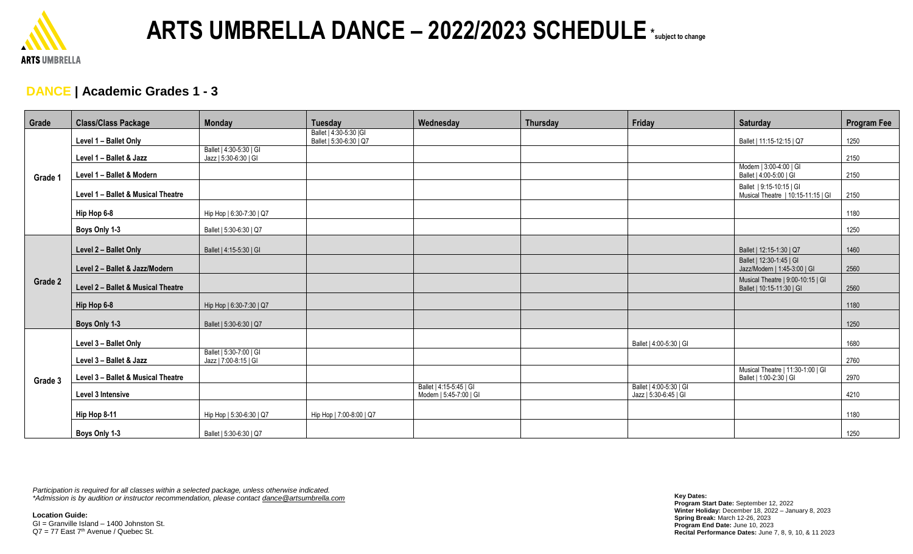

### **DANCE | Academic Grades 1 - 3**

| Grade   | <b>Class/Class Package</b>         | <b>Monday</b>                                    | <b>Tuesday</b>                                     | Wednesday                                          | <b>Thursday</b> | Friday                                           | Saturday                                                       | <b>Program Fee</b> |
|---------|------------------------------------|--------------------------------------------------|----------------------------------------------------|----------------------------------------------------|-----------------|--------------------------------------------------|----------------------------------------------------------------|--------------------|
| Grade 1 | Level 1 - Ballet Only              |                                                  | Ballet   4:30-5:30   GI<br>Ballet   5:30-6:30   Q7 |                                                    |                 |                                                  | Ballet   11:15-12:15   Q7                                      | 1250               |
|         | Level 1 - Ballet & Jazz            | Ballet   4:30-5:30   GI<br>Jazz   5:30-6:30   GI |                                                    |                                                    |                 |                                                  |                                                                | 2150               |
|         | Level 1 - Ballet & Modern          |                                                  |                                                    |                                                    |                 |                                                  | Modern   3:00-4:00   GI<br>Ballet   4:00-5:00   GI             | 2150               |
|         | Level 1 - Ballet & Musical Theatre |                                                  |                                                    |                                                    |                 |                                                  | Ballet   9:15-10:15   GI<br>Musical Theatre   10:15-11:15   GI | 2150               |
|         | Hip Hop 6-8                        | Hip Hop   6:30-7:30   Q7                         |                                                    |                                                    |                 |                                                  |                                                                | 1180               |
|         | Boys Only 1-3                      | Ballet   5:30-6:30   Q7                          |                                                    |                                                    |                 |                                                  |                                                                | 1250               |
| Grade 2 | Level 2 - Ballet Only              | Ballet   4:15-5:30   GI                          |                                                    |                                                    |                 |                                                  | Ballet   12:15-1:30   Q7                                       | 1460               |
|         | Level 2 - Ballet & Jazz/Modern     |                                                  |                                                    |                                                    |                 |                                                  | Ballet   12:30-1:45   GI<br>Jazz/Modern   1:45-3:00   GI       | 2560               |
|         | Level 2 - Ballet & Musical Theatre |                                                  |                                                    |                                                    |                 |                                                  | Musical Theatre   9:00-10:15   GI<br>Ballet   10:15-11:30   GI | 2560               |
|         | Hip Hop 6-8                        | Hip Hop   6:30-7:30   Q7                         |                                                    |                                                    |                 |                                                  |                                                                | 1180               |
|         | Boys Only 1-3                      | Ballet   5:30-6:30   Q7                          |                                                    |                                                    |                 |                                                  |                                                                | 1250               |
|         | Level 3 - Ballet Only              |                                                  |                                                    |                                                    |                 | Ballet   4:00-5:30   GI                          |                                                                | 1680               |
| Grade 3 | Level 3 - Ballet & Jazz            | Ballet   5:30-7:00   GI<br>Jazz   7:00-8:15   GI |                                                    |                                                    |                 |                                                  |                                                                | 2760               |
|         | Level 3 - Ballet & Musical Theatre |                                                  |                                                    |                                                    |                 |                                                  | Musical Theatre   11:30-1:00   GI<br>Ballet   1:00-2:30   GI   | 2970               |
|         | Level 3 Intensive                  |                                                  |                                                    | Ballet   4:15-5:45   GI<br>Modern   5:45-7:00   GI |                 | Ballet   4:00-5:30   GI<br>Jazz   5:30-6:45   GI |                                                                | 4210               |
|         | Hip Hop 8-11                       | Hip Hop   5:30-6:30   Q7                         | Hip Hop   7:00-8:00   Q7                           |                                                    |                 |                                                  |                                                                | 1180               |
|         | Boys Only 1-3                      | Ballet   5:30-6:30   Q7                          |                                                    |                                                    |                 |                                                  |                                                                | 1250               |

*Participation is required for all classes within a selected package, unless otherwise indicated. \*Admission is by audition or instructor recommendation, please contact dance@artsumbrella.com*

**Location Guide:** GI = Granville Island – 1400 Johnston St.  $Q7 = 77$  East  $7<sup>th</sup>$  Avenue / Quebec St.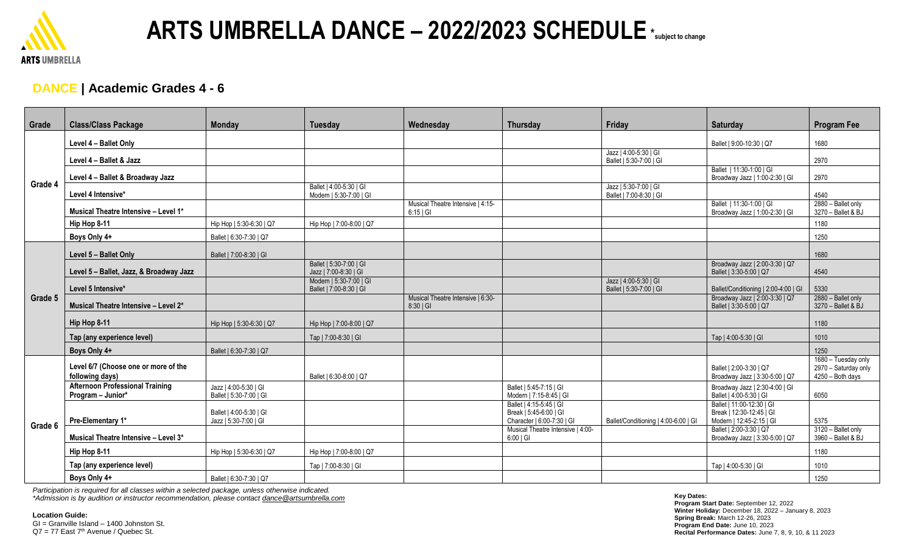

#### **DANCE | Academic Grades 4 - 6**

| Grade   | <b>Class/Class Package</b>                                  | <b>Monday</b>                                    | <b>Tuesday</b>                                     | Wednesday                                      | <b>Thursday</b>                                                                 | Friday                                           | Saturday                                                                          | <b>Program Fee</b>                                              |
|---------|-------------------------------------------------------------|--------------------------------------------------|----------------------------------------------------|------------------------------------------------|---------------------------------------------------------------------------------|--------------------------------------------------|-----------------------------------------------------------------------------------|-----------------------------------------------------------------|
| Grade 4 | Level 4 - Ballet Only                                       |                                                  |                                                    |                                                |                                                                                 |                                                  | Ballet   9:00-10:30   Q7                                                          | 1680                                                            |
|         | Level 4 - Ballet & Jazz                                     |                                                  |                                                    |                                                |                                                                                 | Jazz   4:00-5:30   GI<br>Ballet   5:30-7:00   GI |                                                                                   | 2970                                                            |
|         | Level 4 - Ballet & Broadway Jazz                            |                                                  |                                                    |                                                |                                                                                 |                                                  | Ballet   11:30-1:00   GI<br>Broadway Jazz   1:00-2:30   GI                        | 2970                                                            |
|         | Level 4 Intensive*                                          |                                                  | Ballet   4:00-5:30   GI<br>Modern   5:30-7:00   GI |                                                |                                                                                 | Jazz   5:30-7:00   GI<br>Ballet   7:00-8:30   GI |                                                                                   | 4540                                                            |
|         | Musical Theatre Intensive - Level 1*                        |                                                  |                                                    | Musical Theatre Intensive   4:15-<br>$6:15$ GI |                                                                                 |                                                  | Ballet   11:30-1:00   GI<br>Broadway Jazz   1:00-2:30   GI                        | 2880 - Ballet only<br>3270 - Ballet & BJ                        |
|         | Hip Hop 8-11                                                | Hip Hop   5:30-6:30   Q7                         | Hip Hop   7:00-8:00   Q7                           |                                                |                                                                                 |                                                  |                                                                                   | 1180                                                            |
|         | Boys Only 4+                                                | Ballet   6:30-7:30   Q7                          |                                                    |                                                |                                                                                 |                                                  |                                                                                   | 1250                                                            |
|         | Level 5 - Ballet Only                                       | Ballet   7:00-8:30   GI                          |                                                    |                                                |                                                                                 |                                                  |                                                                                   | 1680                                                            |
| Grade 5 | Level 5 - Ballet, Jazz, & Broadway Jazz                     |                                                  | Ballet   5:30-7:00   GI<br>Jazz   7:00-8:30   GI   |                                                |                                                                                 |                                                  | Broadway Jazz   2:00-3:30   Q7<br>Ballet   3:30-5:00   Q7                         | 4540                                                            |
|         | Level 5 Intensive*                                          |                                                  | Modern   5:30-7:00   GI<br>Ballet   7:00-8:30   GI |                                                |                                                                                 | Jazz   4:00-5:30   GI<br>Ballet   5:30-7:00   GI | Ballet/Conditioning   2:00-4:00   GI                                              | 5330                                                            |
|         | Musical Theatre Intensive - Level 2*                        |                                                  |                                                    | Musical Theatre Intensive   6:30-<br>8:30   Gl |                                                                                 |                                                  | Broadway Jazz   2:00-3:30   Q7<br>Ballet   3:30-5:00   Q7                         | 2880 - Ballet only<br>3270 - Ballet & BJ                        |
|         | Hip Hop 8-11                                                | Hip Hop   5:30-6:30   Q7                         | Hip Hop   7:00-8:00   Q7                           |                                                |                                                                                 |                                                  |                                                                                   | 1180                                                            |
|         | Tap (any experience level)                                  |                                                  | Tap   7:00-8:30   GI                               |                                                |                                                                                 |                                                  | Tap   4:00-5:30   GI                                                              | 1010                                                            |
|         | Boys Only 4+                                                | Ballet   6:30-7:30   Q7                          |                                                    |                                                |                                                                                 |                                                  |                                                                                   | 1250                                                            |
| Grade 6 | Level 6/7 (Choose one or more of the<br>following days)     |                                                  | Ballet   6:30-8:00   Q7                            |                                                |                                                                                 |                                                  | Ballet   2:00-3:30   Q7<br>Broadway Jazz   3:30-5:00   Q7                         | 1680 - Tuesday only<br>2970 - Saturday only<br>4250 - Both days |
|         | <b>Afternoon Professional Training</b><br>Program - Junior* | Jazz   4:00-5:30   GI<br>Ballet   5:30-7:00   GI |                                                    |                                                | Ballet   5:45-7:15   GI<br>Modern   7:15-8:45   GI                              |                                                  | Broadway Jazz   2:30-4:00   GI<br>Ballet   4:00-5:30   GI                         | 6050                                                            |
|         | Pre-Elementary 1*                                           | Ballet   4:00-5:30   GI<br>Jazz   5:30-7:00   GI |                                                    |                                                | Ballet   4:15-5:45   GI<br>Break   5:45-6:00   GI<br>Character   6:00-7:30   GI | Ballet/Conditioning   4:00-6:00   GI             | Ballet   11:00-12:30   GI<br>Break   12:30-12:45   GI<br>Modern   12:45-2:15   GI | 5375                                                            |
|         | Musical Theatre Intensive - Level 3*                        |                                                  |                                                    |                                                | Musical Theatre Intensive   4:00-<br>6:00   Gl                                  |                                                  | Ballet   2:00-3:30   Q7<br>Broadway Jazz   3:30-5:00   Q7                         | 3120 - Ballet only<br>3960 - Ballet & BJ                        |
|         | Hip Hop 8-11                                                | Hip Hop   5:30-6:30   Q7                         | Hip Hop   7:00-8:00   Q7                           |                                                |                                                                                 |                                                  |                                                                                   | 1180                                                            |
|         | Tap (any experience level)                                  |                                                  | Tap   7:00-8:30   GI                               |                                                |                                                                                 |                                                  | Tap   4:00-5:30   GI                                                              | 1010                                                            |
|         | Boys Only 4+                                                | Ballet   6:30-7:30   Q7                          |                                                    |                                                |                                                                                 |                                                  |                                                                                   | 1250                                                            |

*Participation is required for all classes within a selected package, unless otherwise indicated. \*Admission is by audition or instructor recommendation, please contact dance@artsumbrella.com*

**Location Guide:**

GI = Granville Island – 1400 Johnston St.  $Q7 = 77$  East  $7<sup>th</sup>$  Avenue / Quebec St.

**Key Dates: Program Start Date:** September 12, 2022 **Winter Holiday:** December 18, 2022 – January 8, 2023 **Spring Break:** March 12-26, 2023 **Program End Date:** June 10, 2023 **Recital Performance Dates:** June 7, 8, 9, 10, & 11 2023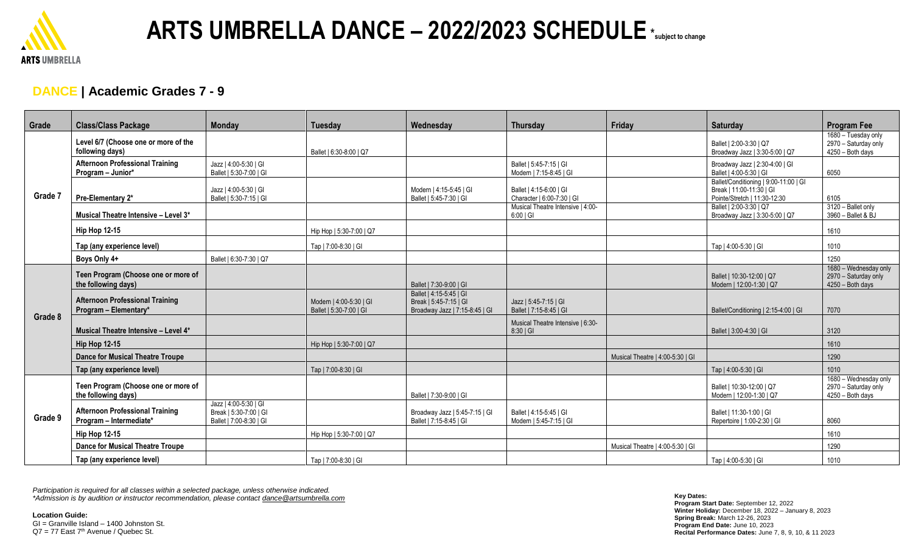

### **DANCE | Academic Grades 7 - 9**

| Grade   | <b>Class/Class Package</b>                                        | <b>Monday</b>                                                              | <b>Tuesday</b>                                     | Wednesday                                                                           | Thursdav                                              | Friday                           | Saturday                                                                                          | <b>Program Fee</b>                                                |
|---------|-------------------------------------------------------------------|----------------------------------------------------------------------------|----------------------------------------------------|-------------------------------------------------------------------------------------|-------------------------------------------------------|----------------------------------|---------------------------------------------------------------------------------------------------|-------------------------------------------------------------------|
| Grade 7 | Level 6/7 (Choose one or more of the<br>following days)           |                                                                            | Ballet   6:30-8:00   Q7                            |                                                                                     |                                                       |                                  | Ballet   2:00-3:30   Q7<br>Broadway Jazz   3:30-5:00   Q7                                         | 1680 - Tuesday only<br>2970 - Saturday only<br>4250 - Both days   |
|         | <b>Afternoon Professional Training</b><br>Program - Junior*       | Jazz   4:00-5:30   GI<br>Ballet   5:30-7:00   GI                           |                                                    |                                                                                     | Ballet   5:45-7:15   GI<br>Modern   7:15-8:45   GI    |                                  | Broadway Jazz   2:30-4:00   GI<br>Ballet   4:00-5:30   GI                                         | 6050                                                              |
|         | Pre-Elementary 2*                                                 | Jazz   4:00-5:30   GI<br>Ballet   5:30-7:15   GI                           |                                                    | Modern   4:15-5:45   GI<br>Ballet   5:45-7:30   GI                                  | Ballet   4:15-6:00   GI<br>Character   6:00-7:30   GI |                                  | Ballet/Conditioning   9:00-11:00   GI<br>Break   11:00-11:30   GI<br>Pointe/Stretch   11:30-12:30 | 6105                                                              |
|         | Musical Theatre Intensive - Level 3*                              |                                                                            |                                                    |                                                                                     | Musical Theatre Intensive   4:00-<br>6:00   Gl        |                                  | Ballet   2:00-3:30   Q7<br>Broadway Jazz   3:30-5:00   Q7                                         | 3120 - Ballet only<br>3960 - Ballet & BJ                          |
|         | <b>Hip Hop 12-15</b>                                              |                                                                            | Hip Hop   5:30-7:00   Q7                           |                                                                                     |                                                       |                                  |                                                                                                   | 1610                                                              |
|         | Tap (any experience level)                                        |                                                                            | Tap   7:00-8:30   GI                               |                                                                                     |                                                       |                                  | Tap   4:00-5:30   GI                                                                              | 1010                                                              |
|         | Boys Only 4+                                                      | Ballet   6:30-7:30   Q7                                                    |                                                    |                                                                                     |                                                       |                                  |                                                                                                   | 1250                                                              |
| Grade 8 | Teen Program (Choose one or more of<br>the following days)        |                                                                            |                                                    | Ballet   7:30-9:00   GI                                                             |                                                       |                                  | Ballet   10:30-12:00   Q7<br>Modern   12:00-1:30   Q7                                             | 1680 - Wednesday only<br>2970 - Saturday only<br>4250 - Both days |
|         | <b>Afternoon Professional Training</b><br>Program - Elementary*   |                                                                            | Modern   4:00-5:30   GI<br>Ballet   5:30-7:00   GI | Ballet   4:15-5:45   GI<br>Break   5:45-7:15   GI<br>Broadway Jazz   7:15-8:45   GI | Jazz   5:45-7:15   GI<br>Ballet   7:15-8:45   GI      |                                  | Ballet/Conditioning   2:15-4:00   GI                                                              | 7070                                                              |
|         | Musical Theatre Intensive - Level 4*                              |                                                                            |                                                    |                                                                                     | Musical Theatre Intensive   6:30-<br>8:30   Gl        |                                  | Ballet   3:00-4:30   GI                                                                           | 3120                                                              |
|         | <b>Hip Hop 12-15</b>                                              |                                                                            | Hip Hop   5:30-7:00   Q7                           |                                                                                     |                                                       |                                  |                                                                                                   | 1610                                                              |
|         | <b>Dance for Musical Theatre Troupe</b>                           |                                                                            |                                                    |                                                                                     |                                                       | Musical Theatre   4:00-5:30   GI |                                                                                                   | 1290                                                              |
|         | Tap (any experience level)                                        |                                                                            | Tap   7:00-8:30   GI                               |                                                                                     |                                                       |                                  | Tap   4:00-5:30   GI                                                                              | 1010                                                              |
| Grade 9 | Teen Program (Choose one or more of<br>the following days)        |                                                                            |                                                    | Ballet   7:30-9:00   GI                                                             |                                                       |                                  | Ballet   10:30-12:00   Q7<br>Modern   12:00-1:30   Q7                                             | 1680 - Wednesday only<br>2970 - Saturday only<br>4250 - Both days |
|         | <b>Afternoon Professional Training</b><br>Program - Intermediate* | Jazz   4:00-5:30   GI<br>Break   5:30-7:00   GI<br>Ballet   7:00-8:30   GI |                                                    | Broadway Jazz   5:45-7:15   GI<br>Ballet   7:15-8:45   GI                           | Ballet   4:15-5:45   GI<br>Modern   5:45-7:15   GI    |                                  | Ballet   11:30-1:00   GI<br>Repertoire   1:00-2:30   GI                                           | 8060                                                              |
|         | <b>Hip Hop 12-15</b>                                              |                                                                            | Hip Hop   5:30-7:00   Q7                           |                                                                                     |                                                       |                                  |                                                                                                   | 1610                                                              |
|         | <b>Dance for Musical Theatre Troupe</b>                           |                                                                            |                                                    |                                                                                     |                                                       | Musical Theatre   4:00-5:30   GI |                                                                                                   | 1290                                                              |
|         | Tap (any experience level)                                        |                                                                            | Tap   7:00-8:30   GI                               |                                                                                     |                                                       |                                  | Tap   4:00-5:30   GI                                                                              | 1010                                                              |

*Participation is required for all classes within a selected package, unless otherwise indicated. \*Admission is by audition or instructor recommendation, please contact dance@artsumbrella.com*

**Location Guide:**

GI = Granville Island – 1400 Johnston St.  $Q7 = 77$  East  $7<sup>th</sup>$  Avenue / Quebec St.

**Key Dates: Program Start Date:** September 12, 2022 **Winter Holiday:** December 18, 2022 – January 8, 2023 **Spring Break:** March 12-26, 2023 **Program End Date:** June 10, 2023 **Recital Performance Dates:** June 7, 8, 9, 10, & 11 2023